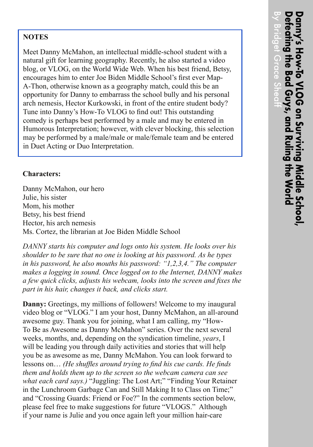## **NOTES**

Meet Danny McMahon, an intellectual middle-school student with a natural gift for learning geography. Recently, he also started a video blog, or VLOG, on the World Wide Web. When his best friend, Betsy, encourages him to enter Joe Biden Middle School's first ever Map-A-Thon, otherwise known as a geography match, could this be an opportunity for Danny to embarrass the school bully and his personal arch nemesis, Hector Kurkowski, in front of the entire student body? Tune into Danny's How-To VLOG to find out! This outstanding comedy is perhaps best performed by a male and may be entered in Humorous Interpretation; however, with clever blocking, this selection may be performed by a male/male or male/female team and be entered in Duet Acting or Duo Interpretation.

## **Characters:**

Danny McMahon, our hero Julie, his sister Mom, his mother Betsy, his best friend Hector, his arch nemesis Ms. Cortez, the librarian at Joe Biden Middle School

*DANNY starts his computer and logs onto his system. He looks over his shoulder to be sure that no one is looking at his password. As he types in his password, he also mouths his password: "1,2,3,4." The computer makes a logging in sound. Once logged on to the Internet, DANNY makes a few quick clicks, adjusts his webcam, looks into the screen and fixes the part in his hair, changes it back, and clicks start.*

**Danny:** Greetings, my millions of followers! Welcome to my inaugural video blog or "VLOG." I am your host, Danny McMahon, an all-around awesome guy. Thank you for joining, what I am calling, my "How-To Be as Awesome as Danny McMahon" series. Over the next several weeks, months, and, depending on the syndication timeline, *years*, I will be leading you through daily activities and stories that will help you be as awesome as me, Danny McMahon. You can look forward to lessons on… *(He shuffles around trying to find his cue cards. He finds them and holds them up to the screen so the webcam camera can see what each card says.)* "Juggling: The Lost Art;" "Finding Your Retainer in the Lunchroom Garbage Can and Still Making It to Class on Time;" and "Crossing Guards: Friend or Foe?" In the comments section below, please feel free to make suggestions for future "VLOGS." Although if your name is Julie and you once again left your million hair-care